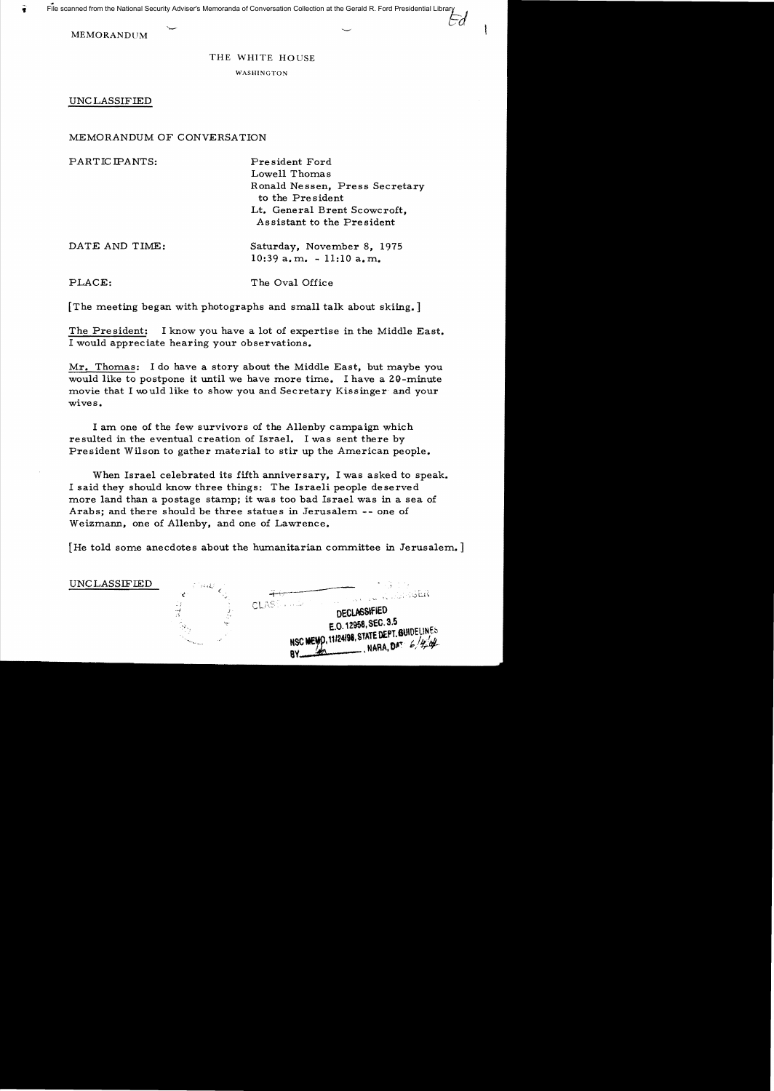MEMORANDUM

## THE WHITE HOUSE

Ed

WASHINGTON

UNC LASSIFIED

MEMORANDUM OF CONVERSATION

PARTICIPANTS: President Ford Lowell Thoma s Ronald Nessen, Press Secretary to the President Lt. General Brent Scowcroft, Assistant to the President DATE AND TIME: Saturday, November 8, 1975  $10:39$  a.m.  $-11:10$  a.m. PLACE: The Oval Office

[The meeting began with photographs and small talk about skiing.]

The President: I know you have a lot of expertise in the Middle East. I would appreciate hearing your observations.

Mr. Thomas: I do have a story about the Middle East, but maybe you would like to postpone it until we have more time. I have a ZQ-minute movie that I would like to show you and Secretary Kissinger and your wives.

I am one of the few survivors of the Allenby campaign which resulted in the eventual creation of Israel. I was sent there by President Wilson to gather material to stir up the American people.

When Israel celebrated its fifth anniversary, I was asked to speak. I said they should know three things: The Israeli people deserved more land than a postage stamp; it was too bad Israel was in a sea of Arabs; and there should be three statues in Jerusalem -- one of Weizmann, one of Allenby, and one of Lawrence.

[He told some anecdotes about the humanitarian committee in Jerusalem.]

UNCLASSIFIED ~-... --- **DECLASSIFIED**<br>E.O. 12958, SEC. 3.5 E.O. 12958, SEC. 3.5<br>• E.O. 12958, SEC. 3.5<br>• NARA, DAT: 6/444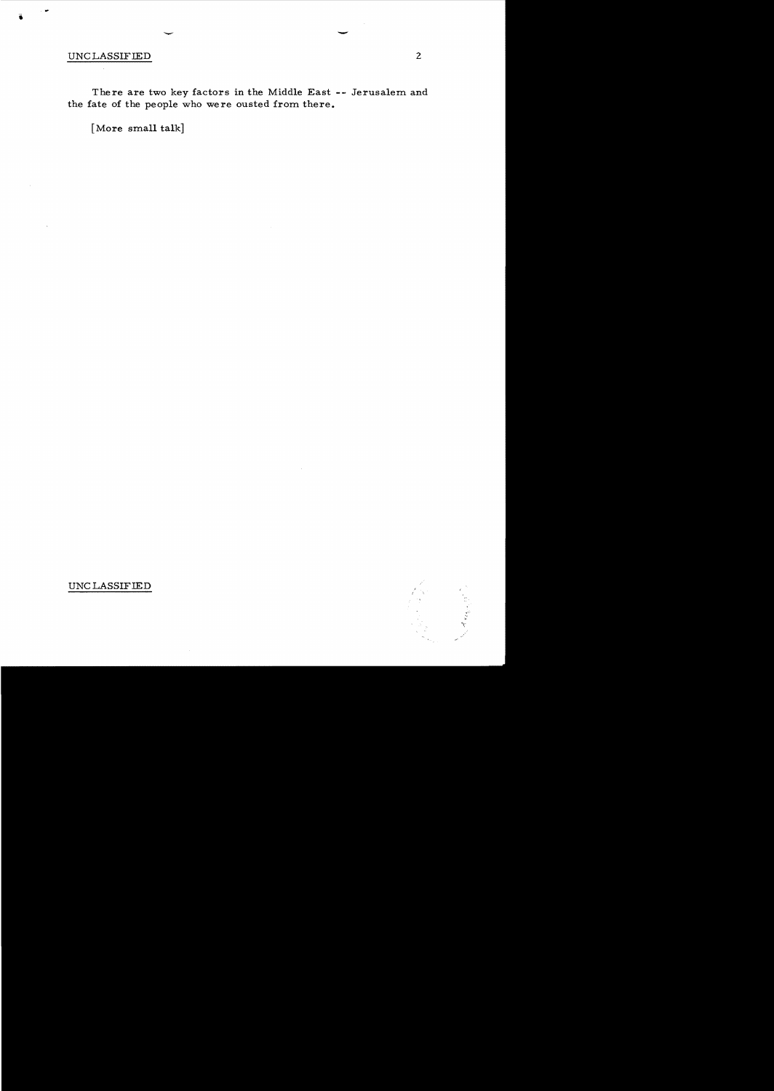## UNC LASSIFIED

There are two key factors **in** the Middle East **--** Jerusalem and the fate of the people who were ousted from there.

[More small talk]



UNC LASSIFIED

-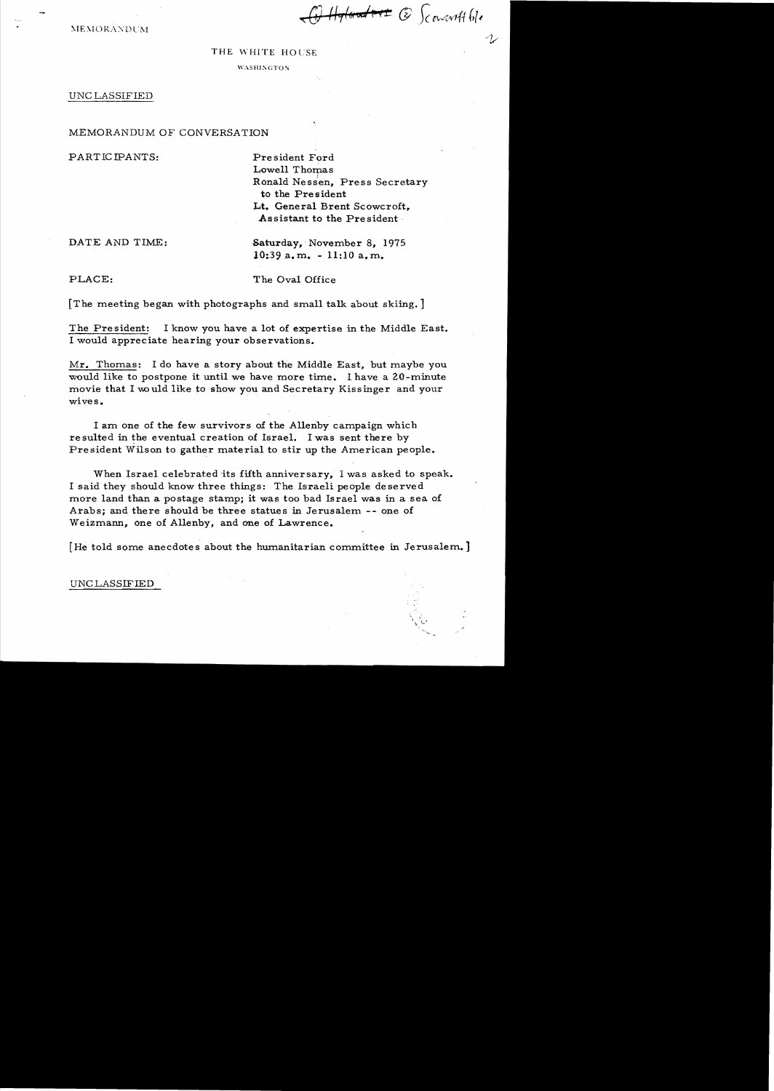Handore & Scourarttble

 $MEMORANDUM$ 

## THE WHITE HOUSE

WASHINGTON

## UNC LASSIFIED

MEMORANDUM OF CONVERSATION

PARTIC IPANTS: President Ford

Lowell Thomas Ronald Nessen, Press Secretary to the President Lt. General Brent Scowcroft, Assistant to the President·

DATE AND TIME: Saturday, November 8, 1975  $10:39$  a.m.  $-11:10$  a.m.

PLACE: The Oval Office

[The meeting began with photographs and small talk about skiing.]

The President: I know you have a lot of expertise in the Middle East. 1 would appreciate hearing your observations.

 $Mr.$  Thomas: I do have a story about the Middle East, but maybe you would like to postpone it until we have more time. I have a 20-minute movie that I would like to show you and Secretary Kissinger and your wives.

I am one of the few survivors of the Allenby campaign which re sulted in the eventual creation of Israel. I was sent there by President Wilson to gather material to stir up the American people.

When Israel celebrated its fifth anniversary, I was asked to speak. I said they should know three things: The Israeli people deserved more land than a postage stamp; it was too bad Israel was in a sea of Arabs; and there should be three statues in Jerusalem -- one of Weizmann, one of Allenby, and one of Lawrence.

[He told some anecdotes about the humanitarian committee in Jerusalem.]

UNC LASSIFIED